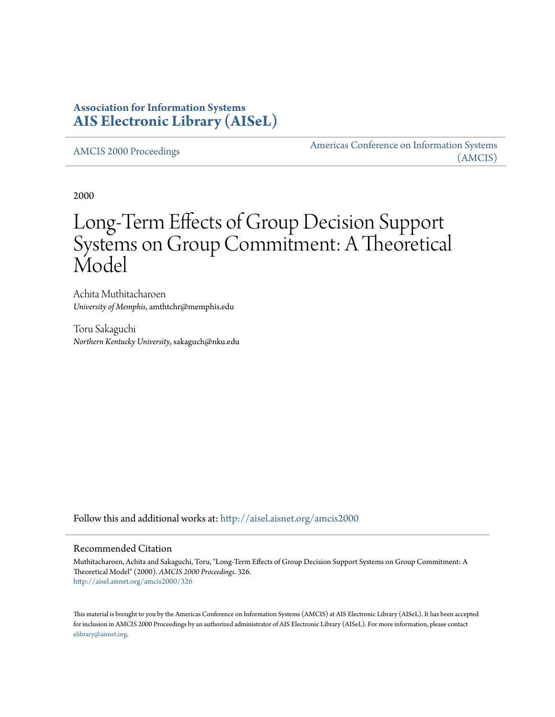# **Association for Information Systems [AIS Electronic Library \(AISeL\)](http://aisel.aisnet.org?utm_source=aisel.aisnet.org%2Famcis2000%2F326&utm_medium=PDF&utm_campaign=PDFCoverPages)**

[AMCIS 2000 Proceedings](http://aisel.aisnet.org/amcis2000?utm_source=aisel.aisnet.org%2Famcis2000%2F326&utm_medium=PDF&utm_campaign=PDFCoverPages)

[Americas Conference on Information Systems](http://aisel.aisnet.org/amcis?utm_source=aisel.aisnet.org%2Famcis2000%2F326&utm_medium=PDF&utm_campaign=PDFCoverPages) [\(AMCIS\)](http://aisel.aisnet.org/amcis?utm_source=aisel.aisnet.org%2Famcis2000%2F326&utm_medium=PDF&utm_campaign=PDFCoverPages)

2000

# Long-Term Effects of Group Decision Support Systems on Group Commitment: A Theoretical Model

Achita Muthitacharoen *University of Memphis*, amthtchr@memphis.edu

Toru Sakaguchi *Northern Kentucky University*, sakaguch@nku.edu

Follow this and additional works at: [http://aisel.aisnet.org/amcis2000](http://aisel.aisnet.org/amcis2000?utm_source=aisel.aisnet.org%2Famcis2000%2F326&utm_medium=PDF&utm_campaign=PDFCoverPages)

#### Recommended Citation

Muthitacharoen, Achita and Sakaguchi, Toru, "Long-Term Effects of Group Decision Support Systems on Group Commitment: A Theoretical Model" (2000). *AMCIS 2000 Proceedings*. 326. [http://aisel.aisnet.org/amcis2000/326](http://aisel.aisnet.org/amcis2000/326?utm_source=aisel.aisnet.org%2Famcis2000%2F326&utm_medium=PDF&utm_campaign=PDFCoverPages)

This material is brought to you by the Americas Conference on Information Systems (AMCIS) at AIS Electronic Library (AISeL). It has been accepted for inclusion in AMCIS 2000 Proceedings by an authorized administrator of AIS Electronic Library (AISeL). For more information, please contact [elibrary@aisnet.org.](mailto:elibrary@aisnet.org%3E)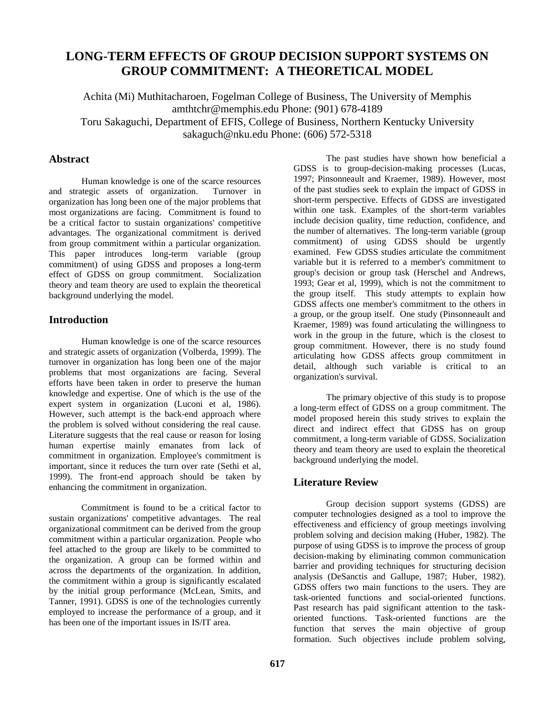# **LONG-TERM EFFECTS OF GROUP DECISION SUPPORT SYSTEMS ON GROUP COMMITMENT: A THEORETICAL MODEL**

Achita (Mi) Muthitacharoen, Fogelman College of Business, The University of Memphis amthtchr@memphis.edu Phone: (901) 678-4189 Toru Sakaguchi, Department of EFIS, College of Business, Northern Kentucky University sakaguch@nku.edu Phone: (606) 572-5318

## **Abstract**

Human knowledge is one of the scarce resources and strategic assets of organization. Turnover in organization has long been one of the major problems that most organizations are facing. Commitment is found to be a critical factor to sustain organizations' competitive advantages. The organizational commitment is derived from group commitment within a particular organization. This paper introduces long-term variable (group commitment) of using GDSS and proposes a long-term effect of GDSS on group commitment. Socialization theory and team theory are used to explain the theoretical background underlying the model.

#### **Introduction**

Human knowledge is one of the scarce resources and strategic assets of organization (Volberda, 1999). The turnover in organization has long been one of the major problems that most organizations are facing. Several efforts have been taken in order to preserve the human knowledge and expertise. One of which is the use of the expert system in organization (Luconi et al, 1986). However, such attempt is the back-end approach where the problem is solved without considering the real cause. Literature suggests that the real cause or reason for losing human expertise mainly emanates from lack of commitment in organization. Employee's commitment is important, since it reduces the turn over rate (Sethi et al, 1999). The front-end approach should be taken by enhancing the commitment in organization.

Commitment is found to be a critical factor to sustain organizations' competitive advantages. The real organizational commitment can be derived from the group commitment within a particular organization. People who feel attached to the group are likely to be committed to the organization. A group can be formed within and across the departments of the organization. In addition, the commitment within a group is significantly escalated by the initial group performance (McLean, Smits, and Tanner, 1991). GDSS is one of the technologies currently employed to increase the performance of a group, and it has been one of the important issues in IS/IT area.

The past studies have shown how beneficial a GDSS is to group-decision-making processes (Lucas, 1997; Pinsonneault and Kraemer, 1989). However, most of the past studies seek to explain the impact of GDSS in short-term perspective. Effects of GDSS are investigated within one task. Examples of the short-term variables include decision quality, time reduction, confidence, and the number of alternatives. The long-term variable (group commitment) of using GDSS should be urgently examined. Few GDSS studies articulate the commitment variable but it is referred to a member's commitment to group's decision or group task (Herschel and Andrews, 1993; Gear et al, 1999), which is not the commitment to the group itself. This study attempts to explain how GDSS affects one member's commitment to the others in a group, or the group itself. One study (Pinsonneault and Kraemer, 1989) was found articulating the willingness to work in the group in the future, which is the closest to group commitment. However, there is no study found articulating how GDSS affects group commitment in detail, although such variable is critical to an organization's survival.

The primary objective of this study is to propose a long-term effect of GDSS on a group commitment. The model proposed herein this study strives to explain the direct and indirect effect that GDSS has on group commitment, a long-term variable of GDSS. Socialization theory and team theory are used to explain the theoretical background underlying the model.

# **Literature Review**

Group decision support systems (GDSS) are computer technologies designed as a tool to improve the effectiveness and efficiency of group meetings involving problem solving and decision making (Huber, 1982). The purpose of using GDSS is to improve the process of group decision-making by eliminating common communication barrier and providing techniques for structuring decision analysis (DeSanctis and Gallupe, 1987; Huber, 1982). GDSS offers two main functions to the users. They are task-oriented functions and social-oriented functions. Past research has paid significant attention to the taskoriented functions. Task-oriented functions are the function that serves the main objective of group formation. Such objectives include problem solving,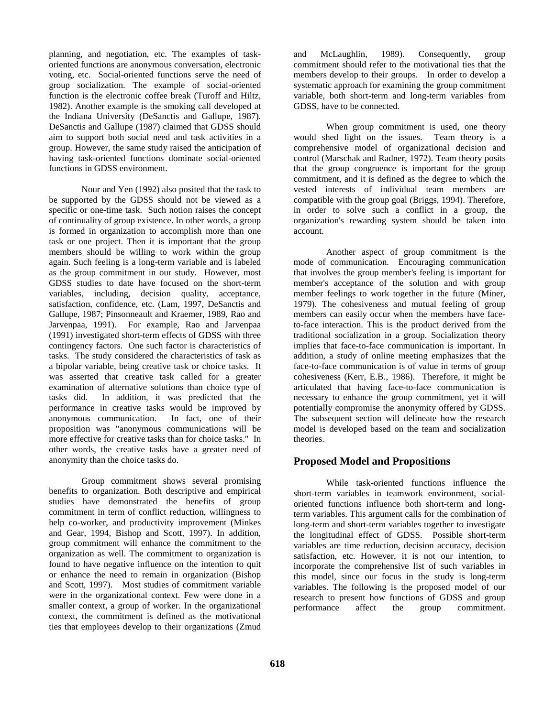planning, and negotiation, etc. The examples of taskoriented functions are anonymous conversation, electronic voting, etc. Social-oriented functions serve the need of group socialization. The example of social-oriented function is the electronic coffee break (Turoff and Hiltz, 1982). Another example is the smoking call developed at the Indiana University (DeSanctis and Gallupe, 1987). DeSanctis and Gallupe (1987) claimed that GDSS should aim to support both social need and task activities in a group. However, the same study raised the anticipation of having task-oriented functions dominate social-oriented functions in GDSS environment.

Nour and Yen (1992) also posited that the task to be supported by the GDSS should not be viewed as a specific or one-time task. Such notion raises the concept of continuality of group existence. In other words, a group is formed in organization to accomplish more than one task or one project. Then it is important that the group members should be willing to work within the group again. Such feeling is a long-term variable and is labeled as the group commitment in our study. However, most GDSS studies to date have focused on the short-term variables, including, decision quality, acceptance, satisfaction, confidence, etc. (Lam, 1997, DeSanctis and Gallupe, 1987; Pinsonneault and Kraemer, 1989, Rao and Jarvenpaa, 1991). For example, Rao and Jarvenpaa (1991) investigated short-term effects of GDSS with three contingency factors. One such factor is characteristics of tasks. The study considered the characteristics of task as a bipolar variable, being creative task or choice tasks. It was asserted that creative task called for a greater examination of alternative solutions than choice type of tasks did. In addition, it was predicted that the performance in creative tasks would be improved by anonymous communication. In fact, one of their proposition was "anonymous communications will be more effective for creative tasks than for choice tasks." In other words, the creative tasks have a greater need of anonymity than the choice tasks do.

Group commitment shows several promising benefits to organization. Both descriptive and empirical studies have demonstrated the benefits of group commitment in term of conflict reduction, willingness to help co-worker, and productivity improvement (Minkes and Gear, 1994, Bishop and Scott, 1997). In addition, group commitment will enhance the commitment to the organization as well. The commitment to organization is found to have negative influence on the intention to quit or enhance the need to remain in organization (Bishop and Scott, 1997). Most studies of commitment variable were in the organizational context. Few were done in a smaller context, a group of worker. In the organizational context, the commitment is defined as the motivational ties that employees develop to their organizations (Zmud and McLaughlin, 1989). Consequently, group commitment should refer to the motivational ties that the members develop to their groups. In order to develop a systematic approach for examining the group commitment variable, both short-term and long-term variables from GDSS, have to be connected.

When group commitment is used, one theory would shed light on the issues. Team theory is a comprehensive model of organizational decision and control (Marschak and Radner, 1972). Team theory posits that the group congruence is important for the group commitment, and it is defined as the degree to which the vested interests of individual team members are compatible with the group goal (Briggs, 1994). Therefore, in order to solve such a conflict in a group, the organization's rewarding system should be taken into account.

Another aspect of group commitment is the mode of communication. Encouraging communication that involves the group member's feeling is important for member's acceptance of the solution and with group member feelings to work together in the future (Miner, 1979). The cohesiveness and mutual feeling of group members can easily occur when the members have faceto-face interaction. This is the product derived from the traditional socialization in a group. Socialization theory implies that face-to-face communication is important. In addition, a study of online meeting emphasizes that the face-to-face communication is of value in terms of group cohesiveness (Kerr, E.B., 1986). Therefore, it might be articulated that having face-to-face communication is necessary to enhance the group commitment, yet it will potentially compromise the anonymity offered by GDSS. The subsequent section will delineate how the research model is developed based on the team and socialization theories.

# **Proposed Model and Propositions**

While task-oriented functions influence the short-term variables in teamwork environment, socialoriented functions influence both short-term and longterm variables. This argument calls for the combination of long-term and short-term variables together to investigate the longitudinal effect of GDSS. Possible short-term variables are time reduction, decision accuracy, decision satisfaction, etc. However, it is not our intention, to incorporate the comprehensive list of such variables in this model, since our focus in the study is long-term variables. The following is the proposed model of our research to present how functions of GDSS and group performance affect the group commitment.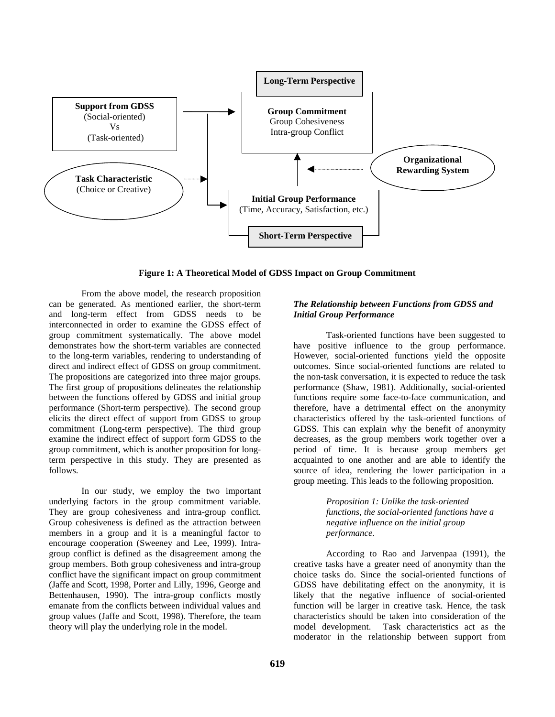

**Figure 1: A Theoretical Model of GDSS Impact on Group Commitment**

From the above model, the research proposition can be generated. As mentioned earlier, the short-term and long-term effect from GDSS needs to be interconnected in order to examine the GDSS effect of group commitment systematically. The above model demonstrates how the short-term variables are connected to the long-term variables, rendering to understanding of direct and indirect effect of GDSS on group commitment. The propositions are categorized into three major groups. The first group of propositions delineates the relationship between the functions offered by GDSS and initial group performance (Short-term perspective). The second group elicits the direct effect of support from GDSS to group commitment (Long-term perspective). The third group examine the indirect effect of support form GDSS to the group commitment, which is another proposition for longterm perspective in this study. They are presented as follows.

In our study, we employ the two important underlying factors in the group commitment variable. They are group cohesiveness and intra-group conflict. Group cohesiveness is defined as the attraction between members in a group and it is a meaningful factor to encourage cooperation (Sweeney and Lee, 1999). Intragroup conflict is defined as the disagreement among the group members. Both group cohesiveness and intra-group conflict have the significant impact on group commitment (Jaffe and Scott, 1998, Porter and Lilly, 1996, George and Bettenhausen, 1990). The intra-group conflicts mostly emanate from the conflicts between individual values and group values (Jaffe and Scott, 1998). Therefore, the team theory will play the underlying role in the model.

#### *The Relationship between Functions from GDSS and Initial Group Performance*

Task-oriented functions have been suggested to have positive influence to the group performance. However, social-oriented functions yield the opposite outcomes. Since social-oriented functions are related to the non-task conversation, it is expected to reduce the task performance (Shaw, 1981). Additionally, social-oriented functions require some face-to-face communication, and therefore, have a detrimental effect on the anonymity characteristics offered by the task-oriented functions of GDSS. This can explain why the benefit of anonymity decreases, as the group members work together over a period of time. It is because group members get acquainted to one another and are able to identify the source of idea, rendering the lower participation in a group meeting. This leads to the following proposition.

> *Proposition 1: Unlike the task-oriented functions, the social-oriented functions have a negative influence on the initial group performance.*

According to Rao and Jarvenpaa (1991), the creative tasks have a greater need of anonymity than the choice tasks do. Since the social-oriented functions of GDSS have debilitating effect on the anonymity, it is likely that the negative influence of social-oriented function will be larger in creative task. Hence, the task characteristics should be taken into consideration of the model development. Task characteristics act as the moderator in the relationship between support from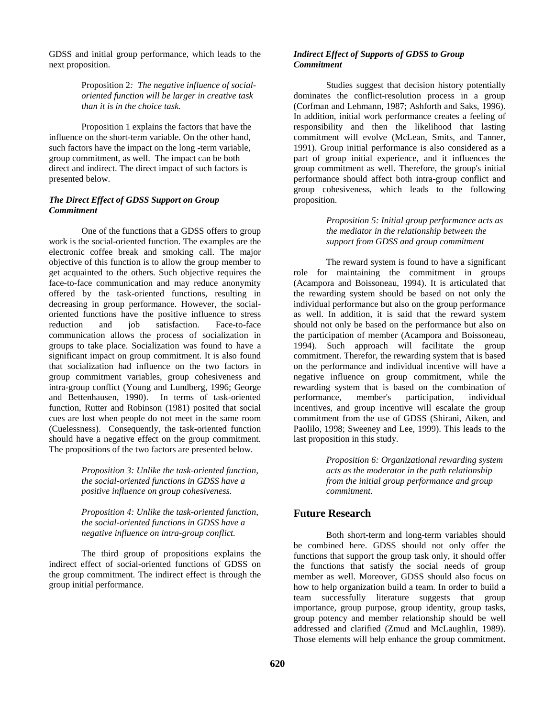GDSS and initial group performance, which leads to the next proposition.

> Proposition 2*: The negative influence of socialoriented function will be larger in creative task than it is in the choice task.*

Proposition 1 explains the factors that have the influence on the short-term variable. On the other hand, such factors have the impact on the long -term variable, group commitment, as well. The impact can be both direct and indirect. The direct impact of such factors is presented below.

#### *The Direct Effect of GDSS Support on Group Commitment*

One of the functions that a GDSS offers to group work is the social-oriented function. The examples are the electronic coffee break and smoking call. The major objective of this function is to allow the group member to get acquainted to the others. Such objective requires the face-to-face communication and may reduce anonymity offered by the task-oriented functions, resulting in decreasing in group performance. However, the socialoriented functions have the positive influence to stress reduction and job satisfaction. Face-to-face communication allows the process of socialization in groups to take place. Socialization was found to have a significant impact on group commitment. It is also found that socialization had influence on the two factors in group commitment variables, group cohesiveness and intra-group conflict (Young and Lundberg, 1996; George and Bettenhausen, 1990). In terms of task-oriented function, Rutter and Robinson (1981) posited that social cues are lost when people do not meet in the same room (Cuelessness). Consequently, the task-oriented function should have a negative effect on the group commitment. The propositions of the two factors are presented below.

> *Proposition 3: Unlike the task-oriented function, the social-oriented functions in GDSS have a positive influence on group cohesiveness.*

> *Proposition 4: Unlike the task-oriented function, the social-oriented functions in GDSS have a negative influence on intra-group conflict.*

The third group of propositions explains the indirect effect of social-oriented functions of GDSS on the group commitment. The indirect effect is through the group initial performance.

#### *Indirect Effect of Supports of GDSS to Group Commitment*

Studies suggest that decision history potentially dominates the conflict-resolution process in a group (Corfman and Lehmann, 1987; Ashforth and Saks, 1996). In addition, initial work performance creates a feeling of responsibility and then the likelihood that lasting commitment will evolve (McLean, Smits, and Tanner, 1991). Group initial performance is also considered as a part of group initial experience, and it influences the group commitment as well. Therefore, the group's initial performance should affect both intra-group conflict and group cohesiveness, which leads to the following proposition.

#### *Proposition 5: Initial group performance acts as the mediator in the relationship between the support from GDSS and group commitment*

The reward system is found to have a significant role for maintaining the commitment in groups (Acampora and Boissoneau, 1994). It is articulated that the rewarding system should be based on not only the individual performance but also on the group performance as well. In addition, it is said that the reward system should not only be based on the performance but also on the participation of member (Acampora and Boissoneau, 1994). Such approach will facilitate the group commitment. Therefor, the rewarding system that is based on the performance and individual incentive will have a negative influence on group commitment, while the rewarding system that is based on the combination of performance, member's participation, individual incentives, and group incentive will escalate the group commitment from the use of GDSS (Shirani, Aiken, and Paolilo, 1998; Sweeney and Lee, 1999). This leads to the last proposition in this study.

> *Proposition 6: Organizational rewarding system acts as the moderator in the path relationship from the initial group performance and group commitment.*

# **Future Research**

Both short-term and long-term variables should be combined here. GDSS should not only offer the functions that support the group task only, it should offer the functions that satisfy the social needs of group member as well. Moreover, GDSS should also focus on how to help organization build a team. In order to build a team successfully literature suggests that group importance, group purpose, group identity, group tasks, group potency and member relationship should be well addressed and clarified (Zmud and McLaughlin, 1989). Those elements will help enhance the group commitment.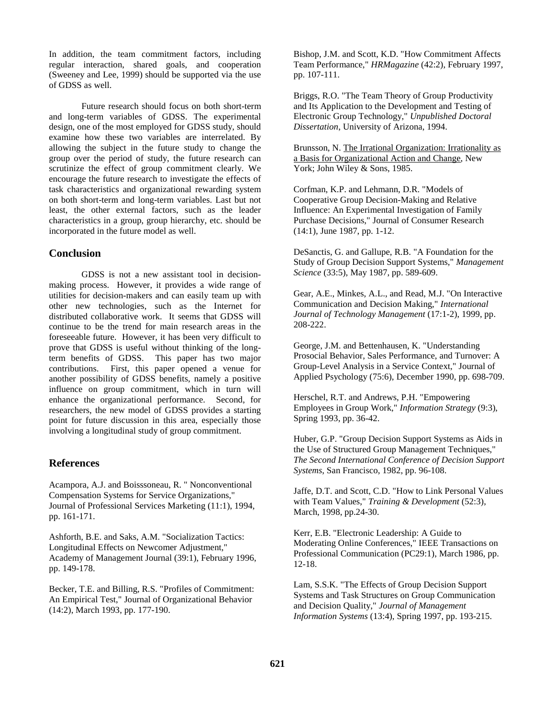In addition, the team commitment factors, including regular interaction, shared goals, and cooperation (Sweeney and Lee, 1999) should be supported via the use of GDSS as well.

Future research should focus on both short-term and long-term variables of GDSS. The experimental design, one of the most employed for GDSS study, should examine how these two variables are interrelated. By allowing the subject in the future study to change the group over the period of study, the future research can scrutinize the effect of group commitment clearly. We encourage the future research to investigate the effects of task characteristics and organizational rewarding system on both short-term and long-term variables. Last but not least, the other external factors, such as the leader characteristics in a group, group hierarchy, etc. should be incorporated in the future model as well.

## **Conclusion**

GDSS is not a new assistant tool in decisionmaking process. However, it provides a wide range of utilities for decision-makers and can easily team up with other new technologies, such as the Internet for distributed collaborative work. It seems that GDSS will continue to be the trend for main research areas in the foreseeable future. However, it has been very difficult to prove that GDSS is useful without thinking of the longterm benefits of GDSS. This paper has two major contributions. First, this paper opened a venue for another possibility of GDSS benefits, namely a positive influence on group commitment, which in turn will enhance the organizational performance. Second, for researchers, the new model of GDSS provides a starting point for future discussion in this area, especially those involving a longitudinal study of group commitment.

## **References**

Acampora, A.J. and Boisssoneau, R. " Nonconventional Compensation Systems for Service Organizations," Journal of Professional Services Marketing (11:1), 1994, pp. 161-171.

Ashforth, B.E. and Saks, A.M. "Socialization Tactics: Longitudinal Effects on Newcomer Adjustment," Academy of Management Journal (39:1), February 1996, pp. 149-178.

Becker, T.E. and Billing, R.S. "Profiles of Commitment: An Empirical Test," Journal of Organizational Behavior (14:2), March 1993, pp. 177-190.

Bishop, J.M. and Scott, K.D. "How Commitment Affects Team Performance," *HRMagazine* (42:2), February 1997, pp. 107-111.

Briggs, R.O. "The Team Theory of Group Productivity and Its Application to the Development and Testing of Electronic Group Technology," *Unpublished Doctoral Dissertation*, University of Arizona, 1994.

Brunsson, N. The Irrational Organization: Irrationality as a Basis for Organizational Action and Change, New York; John Wiley & Sons, 1985.

Corfman, K.P. and Lehmann, D.R. "Models of Cooperative Group Decision-Making and Relative Influence: An Experimental Investigation of Family Purchase Decisions," Journal of Consumer Research (14:1), June 1987, pp. 1-12.

DeSanctis, G. and Gallupe, R.B. "A Foundation for the Study of Group Decision Support Systems," *Management Science* (33:5), May 1987, pp. 589-609.

Gear, A.E., Minkes, A.L., and Read, M.J. "On Interactive Communication and Decision Making," *International Journal of Technology Management* (17:1-2), 1999, pp. 208-222.

George, J.M. and Bettenhausen, K. "Understanding Prosocial Behavior, Sales Performance, and Turnover: A Group-Level Analysis in a Service Context," Journal of Applied Psychology (75:6), December 1990, pp. 698-709.

Herschel, R.T. and Andrews, P.H. "Empowering Employees in Group Work," *Information Strategy* (9:3), Spring 1993, pp. 36-42.

Huber, G.P. "Group Decision Support Systems as Aids in the Use of Structured Group Management Techniques," *The Second International Conference of Decision Support Systems*, San Francisco, 1982, pp. 96-108.

Jaffe, D.T. and Scott, C.D. "How to Link Personal Values with Team Values," *Training & Development* (52:3), March, 1998, pp.24-30.

Kerr, E.B. "Electronic Leadership: A Guide to Moderating Online Conferences," IEEE Transactions on Professional Communication (PC29:1), March 1986, pp. 12-18.

Lam, S.S.K. "The Effects of Group Decision Support Systems and Task Structures on Group Communication and Decision Quality," *Journal of Management Information Systems* (13:4), Spring 1997, pp. 193-215.